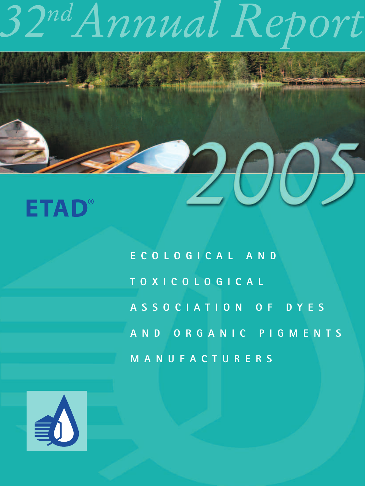### **ETAD®**

**ECOLOGICAL AND T OXICOLOGICAL ASSOCIATION OF DYES AND ORGANIC PIGMENTS MANUFACTURERS**

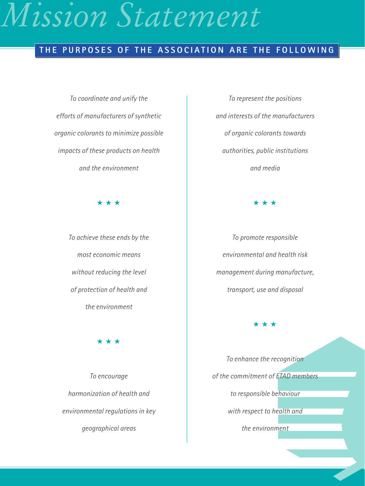### *Mission Statement*

### **THE PURPOSES OF THE ASSOCIATION ARE THE FOLLOWING**

*To coordinate and unify the efforts of manufacturers of synthetic organic colorants to minimize possible impacts of these products on health and the environment*

★★★

*To achieve these ends by the most economic means without reducing the level of protection of health and the environment*

★★★

*To encourage harmonization of health and environmental regulations in key geographical areas*

*To represent the positions and interests of the manufacturers of organic colorants towards authorities, public institutions and media*

★★★

*To promote responsible environmental and health risk management during manufacture, transport, use and disposal*

★★★

*To enhance the recognition of the commitment of ETAD members to responsible behaviour with respect to health and the environment*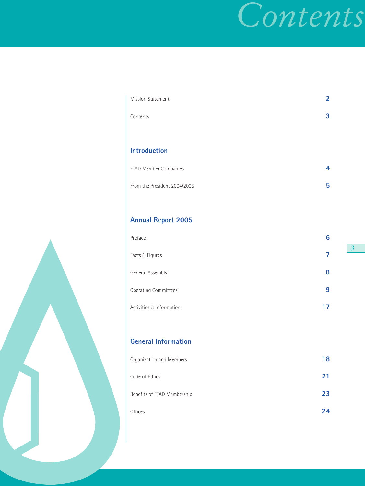### *Contents*

| <b>Mission Statement</b>     | $\overline{2}$ |
|------------------------------|----------------|
| Contents                     | 3              |
|                              |                |
| <b>Introduction</b>          |                |
| ETAD Member Companies        | 4              |
| From the President 2004/2005 | 5              |

### **Annual Report 2005**

| Preface                     | 6  |
|-----------------------------|----|
| Facts & Figures             |    |
| General Assembly            | 8  |
| <b>Operating Committees</b> | 9  |
| Activities & Information    | 17 |

### **General Information**

| Organization and Members    | 18 |
|-----------------------------|----|
| Code of Ethics              | 21 |
| Benefits of ETAD Membership | 23 |
| <b>Offices</b>              | 24 |

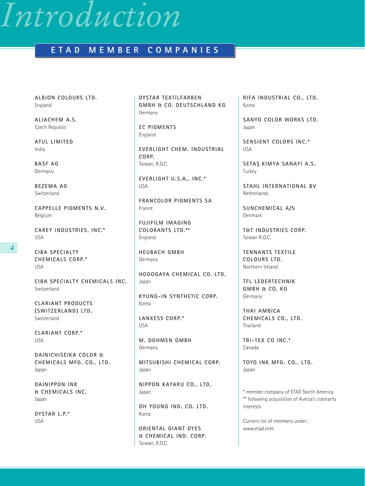### *Introduction*

### **ETAD MEMBER COMPANIES**

**ALBION COLOURS LTD.** England

**ALIACHEM A.S.** Czech Republic

**ATUL LIMITED** India

**BASF AG** Germany

**BEZEMA AG** Switzerland

**CAPPELLE PIGMENTS N.V.** Belgium

**CAREY INDUSTRIES, INC.\*** USA

**CIBA SPECIALTY CHEMICALS CORP.\*** USA

**CIBA SPECIALTY CHEMICALS INC.** Switzerland

**CLARIANT PRODUCTS (SWITZERLAND) LTD.** Switzerland

**CLARIANT CORP.\*** USA

**DAINICHISEIKA COLOR & CHEMICALS MFG. CO., LTD.** Japan

**DAINIPPON INK & CHEMICALS INC.** Japan

**DYSTAR L.P.\*** USA

**DYSTAR TEXTILFARBEN GMBH & CO. DEUTSCHLAND KG** Germany

**EC PIGMENTS** England

**EVERLIGHT CHEM. INDUSTRIAL CORP.** Taiwan, R.O.C.

**EVERLIGHT U.S.A., INC.\*** USA

**FRANCOLOR PIGMENTS SA** France

**FUJIFILM IMAGING COLORANTS LTD.\*\*** England

**HEUBACH GMBH** Germany

**HODOGAYA CHEMICAL CO. LTD.** Japan

**KYUNG-IN SYNTHETIC CORP.** Korea

**LANXESS CORP.\*** USA

**M. DOHMEN GMBH** Germany

**MITSUBISHI CHEMICAL CORP.** Japan

**NIPPON KAYAKU CO., LTD.** Japan

**OH YOUNG IND. CO. LTD.** Korea

**ORIENTAL GIANT DYES & CHEMICAL IND. CORP.** Taiwan, R.O.C.

**RIFA INDUSTRIAL CO., LTD.** Korea

**SANYO COLOR WORKS LTD.** Japan

**SENSIENT COLORS INC.\*** USA

**SETAS¸ KIMYA SANAYI A.S.** Turkey

**STAHL INTERNATIONAL BV Netherlands** 

**SUNCHEMICAL A/S** Denmark

**T&T INDUSTRIES CORP.** Taiwan R.O.C.

**TENNANTS TEXTILE COLOURS LTD.** Northern Ireland

**TFL LEDERTECHNIK GMBH & CO. KG** Germany

**THAI AMBICA CHEMICALS CO., LTD.** Thailand

**TRI-TEX CO INC.\*** Canada

**TOYO INK MFG. CO., LTD.** Japan

\* member company of ETAD North America \*\* following acquisition of Avecia's colorants interests

Current list of members under: www.etad.com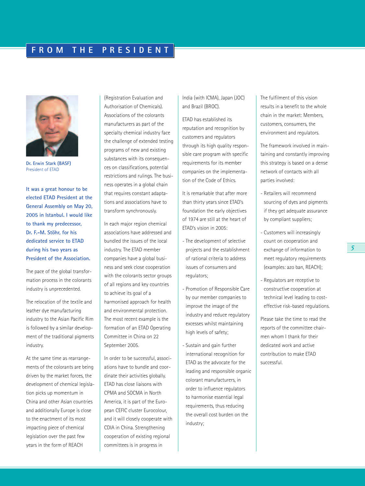

**Dr. Erwin Stark (BASF)** President of ETAD

**It was a great honour to be elected ETAD President at the General Assembly on May 20, 2005 in Istanbul. I would like to thank my predecessor, Dr. F.-M. Stöhr, for his dedicated service to ETAD during his two years as President of the Association.**

The pace of the global transformation process in the colorants industry is unprecedented.

The relocation of the textile and leather dye manufacturing industry to the Asian Pacific Rim is followed by a similar development of the traditional pigments industry.

At the same time as rearrangements of the colorants are being driven by the market forces, the development of chemical legislation picks up momentum in China and other Asian countries and additionally Europe is close to the enactment of its most impacting piece of chemical legislation over the past few years in the form of REACH

(Registration Evaluation and Authorisation of Chemicals). Associations of the colorants manufacturers as part of the specialty chemical industry face the challenge of extended testing programs of new and existing substances with its consequences on classifications, potential restrictions and rulings. The business operates in a global chain that requires constant adaptations and associations have to transform synchronously.

In each major region chemical associations have addressed and bundled the issues of the local industry. The ETAD member companies have a global business and seek close cooperation with the colorants sector groups of all regions and key countries to achieve its goal of a harmonised approach for health and environmental protection. The most recent example is the formation of an ETAD Operating Committee in China on 22 September 2005.

In order to be successful, associations have to bundle and coordinate their activities globally. ETAD has close liaisons with CPMA and SOCMA in North America, it is part of the European CEFIC cluster Eurocolour, and it will closely cooperate with CDIA in China. Strengthening cooperation of existing regional committees is in progress in

India (with ICMA), Japan (JOC) and Brazil (BROC).

ETAD has established its reputation and recognition by customers and regulators through its high quality responsible care program with specific requirements for its member companies on the implementation of the Code of Ethics.

It is remarkable that after more than thirty years since ETAD's foundation the early objectives of 1974 are still at the heart of ETAD's vision in 2005:

- The development of selective projects and the establishment of rational criteria to address issues of consumers and regulators;
- Promotion of Responsible Care by our member companies to improve the image of the industry and reduce regulatory excesses whilst maintaining high levels of safety;
- Sustain and gain further international recognition for ETAD as the advocate for the leading and responsible organic colorant manufacturers, in order to influence regulators to harmonise essential legal requirements, thus reducing the overall cost burden on the industry;

The fulfilment of this vision results in a benefit to the whole chain in the market: Members, customers, consumers, the environment and regulators.

The framework involved in maintaining and constantly improving this strategy is based on a dense network of contacts with all parties involved:

- Retailers will recommend sourcing of dyes and pigments if they get adequate assurance by compliant suppliers;
- Customers will increasingly count on cooperation and exchange of information to meet regulatory requirements (examples: azo ban, REACH);
- Regulators are receptive to constructive cooperation at technical level leading to costeffective risk-based regulations.

Please take the time to read the reports of the committee chairmen whom I thank for their dedicated work and active contribution to make ETAD successful.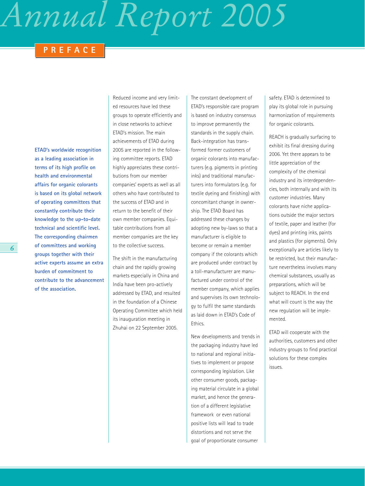### **PREFACE**

**ETAD's worldwide recognition as a leading association in terms of its high profile on health and environmental affairs for organic colorants is based on its global network of operating committees that constantly contribute their knowledge to the up-to-date technical and scientific level. The corresponding chairmen of committees and working groups together with their active experts assume an extra burden of commitment to contribute to the advancement of the association.**

Reduced income and very limited resources have led these groups to operate efficiently and in close networks to achieve ETAD's mission. The main achievements of ETAD during 2005 are reported in the following committee reports. ETAD highly appreciates these contributions from our member companies' experts as well as all others who have contributed to the success of ETAD and in return to the benefit of their own member companies. Equitable contributions from all member companies are the key to the collective success.

The shift in the manufacturing chain and the rapidly growing markets especially in China and India have been pro-actively addressed by ETAD, and resulted in the foundation of a Chinese Operating Committee which held its inauguration meeting in Zhuhai on 22 September 2005.

The constant development of ETAD's responsible care program is based on industry consensus to improve permanently the standards in the supply chain. Back-integration has transformed former customers of organic colorants into manufacturers (e.g. pigments in printing inks) and traditional manufacturers into formulators (e.g. for textile dyeing and finishing) with concomitant change in ownership. The ETAD Board has addressed these changes by adopting new by-laws so that a manufacturer is eligible to become or remain a member company if the colorants which are produced under contract by a toll-manufacturer are manufactured under control of the member company, which applies and supervises its own technology to fulfil the same standards as laid down in ETAD's Code of Ethics.

New developments and trends in the packaging industry have led to national and regional initiatives to implement or propose corresponding legislation. Like other consumer goods, packaging material circulate in a global market, and hence the generation of a different legislative framework or even national positive lists will lead to trade distortions and not serve the goal of proportionate consumer

safety. ETAD is determined to play its global role in pursuing harmonization of requirements for organic colorants.

REACH is gradually surfacing to exhibit its final dressing during 2006. Yet there appears to be little appreciation of the complexity of the chemical industry and its interdependencies, both internally and with its customer industries. Many colorants have niche applications outside the major sectors of textile, paper and leather (for dyes) and printing inks, paints and plastics (for pigments). Only exceptionally are articles likely to be restricted, but their manufacture nevertheless involves many chemical substances, usually as preparations, which will be subject to REACH. In the end what will count is the way the new regulation will be implemented.

ETAD will cooperate with the authorities, customers and other industry groups to find practical solutions for these complex issues.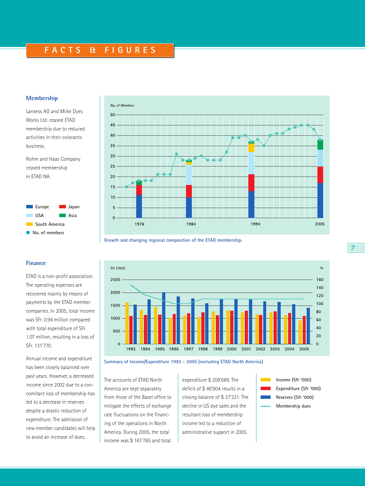### **FACTS & FIGURES**

### **Membership**

Lanxess AG and Miike Dyes Works Ltd. ceased ETAD membership due to reduced activities in their colorants business.

Rohm and Haas Company ceased membership in ETAD NA.



ETAD is a non-profit association. The operating expenses are recovered mainly by means of payments by the ETAD member companies. In 2005, total income was SFr. 0.94 million compared with total expenditure of SFr. 1.07 million, resulting in a loss of

Annual income and expenditure has been closely balanced over

**Finance**

SFr. 131'770.



**Growth and changing regional composition of the ETAD membership.**



**Summary of Income/Expenditure 1993 - 2005 (excluding ETAD North America)**

past years. However, a decreased income since 2002 due to a concomitant loss of membership has led to a decrease in reserves despite a drastic reduction of expenditure. The admission of new member candidates will help to avoid an increase of dues.

The accounts of ETAD North America are kept separately from those of the Basel office to mitigate the effects of exchange rate fluctuations on the financing of the operations in North America. During 2005, the total income was \$ 161'785 and total

expenditure \$ 208'689. The deficit of \$ 46'904 results in a closing balance of \$ 27'221. The decline in US dye sales and the resultant loss of membership income led to a reduction of administrative support in 2005.

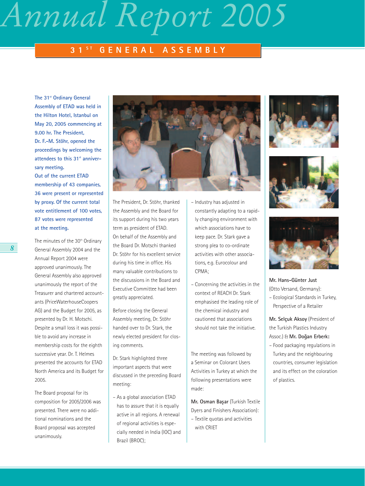### **3 1 <sup>S</sup> <sup>T</sup> GENERAL ASSEMBLY**

**The 31st Ordinary General Assembly of ETAD was held in the Hilton Hotel, Istanbul on May 20, 2005 commencing at 9.00 hr. The President, Dr. F.-M. Stöhr, opened the proceedings by welcoming the** attendees to this 31<sup>st</sup> anniver**sary meeting. Out of the current ETAD membership of 43 companies, 36 were present or represented by proxy. Of the current total vote entitlement of 100 votes, 87 votes were represented at the meeting.**

The minutes of the 30<sup>th</sup> Ordinary General Assembly 2004 and the Annual Report 2004 were approved unanimously. The General Assembly also approved unanimously the report of the Treasurer and chartered accountants (PriceWaterhouseCoopers AG) and the Budget for 2005, as presented by Dr. H. Motschi. Despite a small loss it was possible to avoid any increase in membership costs for the eighth successive year. Dr. T. Helmes presented the accounts for ETAD North America and its Budget for 2005.

The Board proposal for its composition for 2005/2006 was presented. There were no additional nominations and the Board proposal was accepted unanimously.



The President, Dr. Stöhr, thanked the Assembly and the Board for its support during his two years term as president of ETAD. On behalf of the Assembly and the Board Dr. Motschi thanked Dr. Stöhr for his excellent service during his time in office. His many valuable contributions to the discussions in the Board and Executive Committee had been greatly appreciated.

Before closing the General Assembly meeting, Dr. Stöhr handed over to Dr. Stark, the newly elected president for closing comments.

Dr. Stark highlighted three important aspects that were discussed in the preceding Board meeting:

– As a global association ETAD has to assure that it is equally active in all regions. A renewal of regional activities is especially needed in India (IOC) and Brazil (BROC);

- Industry has adjusted in constantly adapting to a rapidly changing environment with which associations have to keep pace. Dr. Stark gave a strong plea to co-ordinate activities with other associations, e.g. Eurocolour and CPMA;
- Concerning the activities in the context of REACH Dr. Stark emphasised the leading role of the chemical industry and cautioned that associations should not take the initiative.

The meeting was followed by a Seminar on Colorant Users Activities in Turkey at which the following presentations were made:

**Mr. Osman Basar (Turkish Textile)** Dyers and Finishers Association): – Textile quotas and activities with CRIET







**Mr. Hans-Günter Just** (Otto Versand, Germany):

– Ecological Standards in Turkey, Perspective of a Retailer

**Mr. Selçuk Aksoy** (President of the Turkish Plastics Industry Assoc.) & **Mr. Dog˘an Erberk:**

– Food packaging regulations in Turkey and the neighbouring countries, consumer legislation and its effect on the coloration of plastics.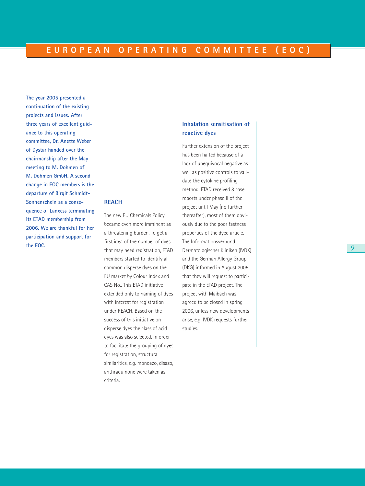**The year 2005 presented a continuation of the existing projects and issues. After three years of excellent guidance to this operating committee, Dr. Anette Weber of Dystar handed over the chairmanship after the May meeting to M. Dohmen of M. Dohmen GmbH. A second change in EOC members is the departure of Birgit Schmidt-Sonnenschein as a consequence of Lanxess terminating its ETAD membership from 2006. We are thankful for her participation and support for the EOC.**

**REACH**

criteria.

The new EU Chemicals Policy became even more imminent as a threatening burden. To get a first idea of the number of dyes that may need registration, ETAD members started to identify all common disperse dyes on the EU market by Colour Index and CAS No.. This ETAD initiative extended only to naming of dyes with interest for registration under REACH. Based on the success of this initiative on disperse dyes the class of acid dyes was also selected. In order to facilitate the grouping of dyes for registration, structural similarities, e.g. monoazo, disazo, anthraquinone were taken as

### **Inhalation sensitisation of reactive dyes**

Further extension of the project has been halted because of a lack of unequivocal negative as well as positive controls to validate the cytokine profiling method. ETAD received 8 case reports under phase II of the project until May (no further thereafter), most of them obviously due to the poor fastness properties of the dyed article. The Informationsverbund Dermatologischer Kliniken (IVDK) and the German Allergy Group (DKG) informed in August 2005 that they will request to participate in the ETAD project. The project with Maibach was agreed to be closed in spring 2006, unless new developments arise, e.g. IVDK requests further studies.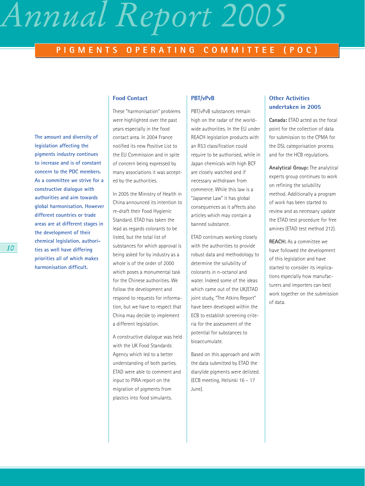### **PIGMENTS OPERATING COMMITTEE (POC)**

**The amount and diversity of legislation affecting the pigments industry continues to increase and is of constant concern to the POC members. As a committee we strive for a constructive dialogue with authorities and aim towards global harmonisation. However different countries or trade areas are at different stages in the development of their chemical legislation, authorities as well have differing priorities all of which makes harmonisation difficult.**

### **Food Contact**

These "harmonisation" problems were highlighted over the past years especially in the food contact area. In 2004 France notified its new Positive List to the EU Commission and in spite of concern being expressed by many associations it was accepted by the authorities.

In 2005 the Ministry of Health in China announced its intention to re-draft their Food Hygienic Standard. ETAD has taken the lead as regards colorants to be listed, but the total list of substances for which approval is being asked for by industry as a whole is of the order of 2000 which poses a monumental task for the Chinese authorities. We follow the development and respond to requests for information, but we have to respect that China may decide to implement a different legislation.

A constructive dialogue was held with the UK Food Standards Agency which led to a better understanding of both parties. ETAD were able to comment and input to PIRA report on the migration of pigments from plastics into food simulants.

### **PBT/vPvB**

PBT/vPvB substances remain high on the radar of the worldwide authorities. In the EU under REACH legislation products with an R53 classification could require to be authorised, while in Japan chemicals with high BCF are closely watched and if necessary withdrawn from commerce. While this law is a "Japanese Law" it has global consequences as it affects also articles which may contain a banned substance.

ETAD continues working closely with the authorities to provide robust data and methodology to determine the solubility of colorants in n-octanol and water. Indeed some of the ideas which came out of the UK/ETAD joint study, "The Atkins Report" have been developed within the ECB to establish screening criteria for the assessment of the potential for substances to bioaccumulate.

Based on this approach and with the data submitted by ETAD the diarylide pigments were delisted. (ECB meeting, Helsinki 16 – 17 June).

### **Other Activities undertaken in 2005**

**Canada:** ETAD acted as the focal point for the collection of data for submission to the CPMA for the DSL categorisation process and for the HCB regulations.

**Analytical Group:** The analytical experts group continues to work on refining the solubility method. Additionally a program of work has been started to review and as necessary update the ETAD test procedure for free amines (ETAD test method 212).

**REACH:** As a committee we have followed the development of this legislation and have started to consider its implications especially how manufacturers and importers can best work together on the submission of data.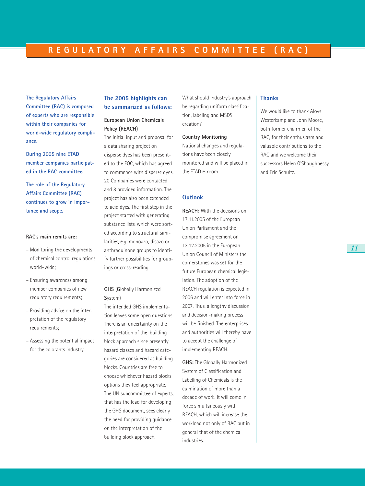**The Regulatory Affairs Committee (RAC) is composed of experts who are responsible within their companies for world-wide regulatory compliance.** 

**During 2005 nine ETAD member companies participated in the RAC committee.** 

**The role of the Regulatory Affairs Committee (RAC) continues to grow in importance and scope.**

#### **RAC's main remits are:**

- Monitoring the developments of chemical control regulations world–wide;
- Ensuring awareness among member companies of new regulatory requirements;
- Providing advice on the interpretation of the regulatory requirements;
- Assessing the potential impact for the colorants industry.

### **The 2005 highlights can be summarized as follows:**

### **European Union Chemicals Policy (REACH)**

The initial input and proposal for a data sharing project on disperse dyes has been presented to the EOC, which has agreed to commence with disperse dyes. 20 Companies were contacted and 8 provided information. The project has also been extended to acid dyes. The first step in the project started with generating substance lists, which were sorted according to structural similarities, e.g. monoazo, disazo or anthraquinone groups to identify further possibilities for groupings or cross-reading.

### **GHS** (**G**lobally **H**armonized **S**ystem)

The intended GHS implementation leaves some open questions. There is an uncertainty on the interpretation of the building block approach since presently hazard classes and hazard categories are considered as building blocks. Countries are free to choose whichever hazard blocks options they feel appropriate. The UN subcommittee of experts, that has the lead for developing the GHS document, sees clearly the need for providing guidance on the interpretation of the building block approach.

What should industry's approach be regarding uniform classification, labeling and MSDS creation?

**Country Monitoring** National changes and regulations have been closely monitored and will be placed in the ETAD e-room.

#### **Outlook**

**REACH:** With the decisions on 17.11.2005 of the European Union Parliament and the compromise agreement on 13.12.2005 in the European Union Council of Ministers the cornerstones was set for the future European chemical legislation. The adoption of the REACH regulation is expected in 2006 and will enter into force in 2007. Thus, a lengthy discussion and decision-making process will be finished. The enterprises and authorities will thereby have to accept the challenge of implementing REACH.

**GHS:** The Globally Harmonized System of Classification and Labelling of Chemicals is the culmination of more than a decade of work. It will come in force simultaneously with REACH, which will increase the workload not only of RAC but in general that of the chemical industries.

#### **Thanks**

We would like to thank Aloys Westerkamp and John Moore, both former chairmen of the RAC, for their enthusiasm and valuable contributions to the RAC and we welcome their successors Helen O'Shaughnessy and Eric Schultz.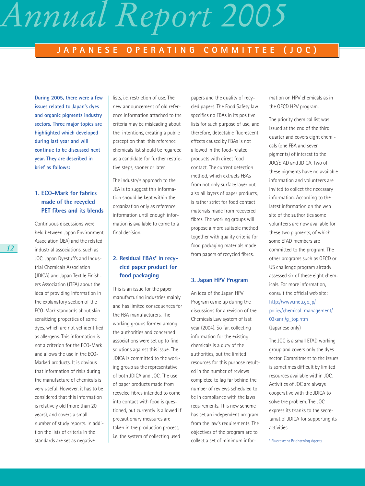### **JAPANESE OPERATING COMMITTEE (JOC)**

**During 2005, there were a few issues related to Japan's dyes and organic pigments industry sectors. Three major topics are highlighted which developed during last year and will continue to be discussed next year. They are described in brief as follows:**

### **1. ECO-Mark for fabrics made of the recycled PET fibres and its blends**

Continuous discussions were held between Japan Environment Association (JEA) and the related industrial associations, such as JOC, Japan Dyestuffs and Industrial Chemicals Association (JDICA) and Japan Textile Finishers Association (JTFA) about the idea of providing information in the explanatory section of the ECO-Mark standards about skin sensitizing properties of some dyes, which are not yet identified as allergens. This information is not a criterion for the ECO-Mark and allows the use in the ECO-Marked products. It is obvious that information of risks during the manufacture of chemicals is very useful. However, it has to be considered that this information is relatively old (more than 20 years), and covers a small number of study reports. In addition the lists of criteria in the standards are set as negative

lists, i.e. restriction of use. The new announcement of old reference information attached to the criteria may be misleading about the intentions, creating a public perception that this reference chemicals list should be regarded as a candidate for further restrictive steps, sooner or later.

The industry's approach to the JEA is to suggest this information should be kept within the organization only as reference information until enough information is available to come to a final decision.

### **2. Residual FBAs\* in recycled paper product for food packaging**

This is an issue for the paper manufacturing industries mainly and has limited consequences for the FBA manufacturers. The working groups formed among the authorities and concerned associations were set up to find solutions against this issue. The JDICA is committed to the working group as the representative of both JDICA and JOC. The use of paper products made from recycled fibres intended to come into contact with food is questioned, but currently is allowed if precautionary measures are taken in the production process, i.e. the system of collecting used

papers and the quality of recycled papers. The Food Safety law specifies no FBAs in its positive lists for such purpose of use, and therefore, detectable fluorescent effects caused by FBAs is not allowed in the food-related products with direct food contact. The current detection method, which extracts FBAs from not only surface layer but also all layers of paper products, is rather strict for food contact materials made from recovered fibres. The working groups will propose a more suitable method together with quality criteria for food packaging materials made from papers of recycled fibres.

### **3. Japan HPV Program**

An idea of the Japan HPV Program came up during the discussions for a revision of the Chemicals Law system of last year (2004). So far, collecting information for the existing chemicals is a duty of the authorities, but the limited resources for this purpose resulted in the number of reviews completed to lag far behind the number of reviews scheduled to be in compliance with the laws requirements. This new scheme has set an independent program from the law's requirements. The objectives of the program are to collect a set of minimum information on HPV chemicals as in the OECD HPV program.

The priority chemical list was issued at the end of the third quarter and covers eight chemicals (one FBA and seven pigments) of interest to the JOC/ETAD and JDICA. Two of these pigments have no available information and volunteers are invited to collect the necessary information. According to the latest information on the web site of the authorities some volunteers are now available for these two pigments, of which some ETAD members are committed to the program. The other programs such as OECD or US challenge program already assessed six of these eight chemicals. For more information, consult the official web site: http://www.meti.go.jp/ policy/chemical\_management/ 03kanri/g\_top.htm (Japanese only)

The JOC is a small ETAD working group and covers only the dyes sector. Commitment to the issues is sometimes difficult by limited resources available within JOC. Activities of JOC are always cooperative with the JDICA to solve the problem. The JOC express its thanks to the secretariat of JDICA for supporting its activities.

\* Fluorescent Brightening Agents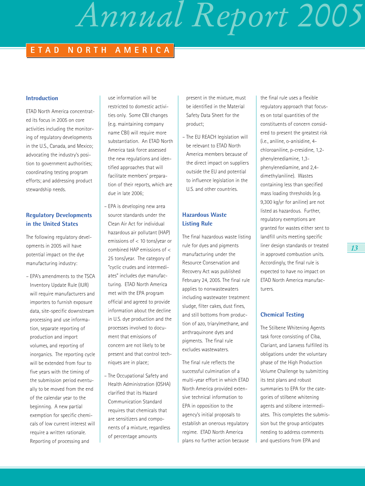### **ETAD NORTH AMERICA**

### **Introduction**

ETAD North America concentrated its focus in 2005 on core activities including the monitoring of regulatory developments in the U.S., Canada, and Mexico; advocating the industry's position to government authorities; coordinating testing program efforts; and addressing product stewardship needs.

### **Regulatory Developments in the United States**

The following regulatory developments in 2005 will have potential impact on the dye manufacturing industry:

– EPA's amendments to the TSCA Inventory Update Rule (IUR) will require manufacturers and importers to furnish exposure data, site-specific downstream processing and use information, separate reporting of production and import volumes, and reporting of inorganics. The reporting cycle will be extended from four to five years with the timing of the submission period eventually to be moved from the end of the calendar year to the beginning. A new partial exemption for specific chemicals of low current interest will require a written rationale. Reporting of processing and

use information will be restricted to domestic activities only. Some CBI changes (e.g. maintaining company name CBI) will require more substantiation. An ETAD North America task force assessed the new regulations and identified approaches that will facilitate members' preparation of their reports, which are due in late 2006;

– EPA is developing new area source standards under the Clean Air Act for individual hazardous air pollutant (HAP) emissions of < 10 tons/year or combined HAP emissions of < 25 tons/year. The category of "cyclic crudes and intermediates" includes dye manufacturing. ETAD North America met with the EPA program official and agreed to provide information about the decline in U.S. dye production and the processes involved to document that emissions of concern are not likely to be present and that control techniques are in place;

– The Occupational Safety and Health Administration (OSHA) clarified that its Hazard Communication Standard requires that chemicals that are sensitizers and components of a mixture, regardless of percentage amounts

present in the mixture, must be identified in the Material Safety Data Sheet for the product;

– The EU REACH legislation will be relevant to ETAD North America members because of the direct impact on suppliers outside the EU and potential to influence legislation in the U.S. and other countries.

### **Hazardous Waste Listing Rule**

The final hazardous waste listing rule for dyes and pigments manufacturing under the Resource Conservation and Recovery Act was published February 24, 2005. The final rule applies to nonwastewaters including wastewater treatment sludge, filter cakes, dust fines, and still bottoms from production of azo, triarylmethane, and anthraquinone dyes and pigments. The final rule excludes wastewaters.

The final rule reflects the successful culmination of a multi-year effort in which ETAD North America provided extensive technical information to EPA in opposition to the agency's initial proposals to establish an onerous regulatory regime. ETAD North America plans no further action because

the final rule uses a flexible regulatory approach that focuses on total quantities of the constituents of concern considered to present the greatest risk (i.e., aniline, o-anisidine, 4 chloroaniline, p-cresidine, 1,2 phenylenediamine, 1,3 phenylenediamine, and 2,4 dimethylaniline). Wastes containing less than specified mass loading thresholds (e.g. 9,300 kg/yr for aniline) are not listed as hazardous. Further, regulatory exemptions are granted for wastes either sent to landfill units meeting specific liner design standards or treated in approved combustion units. Accordingly, the final rule is expected to have no impact on ETAD North America manufacturers.

### **Chemical Testing**

The Stilbene Whitening Agents task force consisting of Ciba, Clariant, and Lanxess fulfilled its obligations under the voluntary phase of the High Production Volume Challenge by submitting its test plans and robust summaries to EPA for the categories of stilbene whitening agents and stilbene intermediates. This completes the submission but the group anticipates needing to address comments and questions from EPA and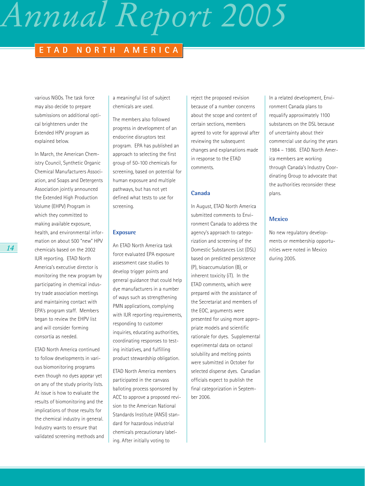### **ETAD NORTH AMERICA**

various NGOs. The task force may also decide to prepare submissions on additional optical brighteners under the Extended HPV program as explained below.

In March, the American Chemistry Council, Synthetic Organic Chemical Manufacturers Association, and Soaps and Detergents Association jointly announced the Extended High Production Volume (EHPV) Program in which they committed to making available exposure, health, and environmental information on about 500 "new" HPV chemicals based on the 2002 IUR reporting. ETAD North America's executive director is monitoring the new program by participating in chemical industry trade association meetings and maintaining contact with EPA's program staff. Members began to review the EHPV list and will consider forming consortia as needed.

ETAD North America continued to follow developments in various biomonitoring programs even though no dyes appear yet on any of the study priority lists. At issue is how to evaluate the results of biomonitoring and the implications of those results for the chemical industry in general. Industry wants to ensure that validated screening methods and a meaningful list of subject chemicals are used.

The members also followed progress in development of an endocrine disruptors test program. EPA has published an approach to selecting the first group of 50-100 chemicals for screening, based on potential for human exposure and multiple pathways, but has not yet defined what tests to use for screening.

### **Exposure**

An ETAD North America task force evaluated EPA exposure assessment case studies to develop trigger points and general guidance that could help dye manufacturers in a number of ways such as strengthening PMN applications, complying with IUR reporting requirements, responding to customer inquiries, educating authorities, coordinating responses to testing initiatives, and fulfilling product stewardship obligation.

ETAD North America members participated in the canvass balloting process sponsored by ACC to approve a proposed revision to the American National Standards Institute (ANSI) standard for hazardous industrial chemicals precautionary labeling. After initially voting to

reject the proposed revision because of a number concerns about the scope and content of certain sections, members agreed to vote for approval after reviewing the subsequent changes and explanations made in response to the ETAD comments.

### **Canada**

In August, ETAD North America submitted comments to Environment Canada to address the agency's approach to categorization and screening of the Domestic Substances List (DSL) based on predicted persistence (P), bioaccumulation (B), or inherent toxicity (iT). In the ETAD comments, which were prepared with the assistance of the Secretariat and members of the EOC, arguments were presented for using more appropriate models and scientific rationale for dyes. Supplemental experimental data on octanol solubility and melting points were submitted in October for selected disperse dyes. Canadian officials expect to publish the final categorization in September 2006.

In a related development, Environment Canada plans to requalify approximately 1100 substances on the DSL because of uncertainty about their commercial use during the years 1984 – 1986. ETAD North America members are working through Canada's Industry Coordinating Group to advocate that the authorities reconsider these plans.

### **Mexico**

No new regulatory developments or membership opportunities were noted in Mexico during 2005.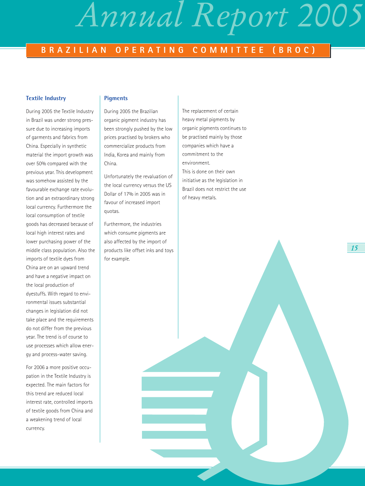### **BRAZILIAN OPERATING COMMITTEE (BROC)**

### **Textile Industry**

During 2005 the Textile Industry in Brazil was under strong pressure due to increasing imports of garments and fabrics from China. Especially in synthetic material the import growth was over 50% compared with the previous year. This development was somehow assisted by the favourable exchange rate evolution and an extraordinary strong local currency. Furthermore the local consumption of textile goods has decreased because of local high interest rates and lower purchasing power of the middle class population. Also the imports of textile dyes from China are on an upward trend and have a negative impact on the local production of dyestuffs. With regard to environmental issues substantial changes in legislation did not take place and the requirements do not differ from the previous year. The trend is of course to use processes which allow energy and process-water saving.

For 2006 a more positive occupation in the Textile Industry is expected. The main factors for this trend are reduced local interest rate, controlled imports of textile goods from China and a weakening trend of local currency.

### **Pigments**

During 2005 the Brazilian organic pigment industry has been strongly pushed by the low prices practised by brokers who commercialize products from India, Korea and mainly from China.

Unfortunately the revaluation of the local currency versus the US Dollar of 17% in 2005 was in favour of increased import quotas.

Furthermore, the industries which consume pigments are also affected by the import of products like offset inks and toys for example.

The replacement of certain heavy metal pigments by organic pigments continues to be practised mainly by those companies which have a commitment to the environment. This is done on their own initiative as the legislation in Brazil does not restrict the use of heavy metals.

*15*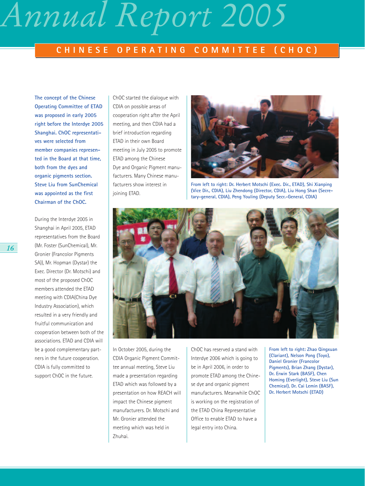### **CHINESE OPERATING COMMITTEE (CHOC)**

**The concept of the Chinese Operating Committee of ETAD was proposed in early 2005 right before the Interdye 2005 Shanghai. ChOC representatives were selected from member companies represented in the Board at that time, both from the dyes and organic pigments section. Steve Liu from SunChemical was appointed as the first Chairman of the ChOC.** 

During the Interdye 2005 in Shanghai in April 2005, ETAD representatives from the Board (Mr. Foster (SunChemical), Mr. Gronier (Francolor Pigments SA)), Mr. Hopman (Dystar) the Exec. Director (Dr. Motschi) and most of the proposed ChOC members attended the ETAD meeting with CDIA(China Dye Industry Association), which resulted in a very friendly and fruitful communication and cooperation between both of the associations. ETAD and CDIA will be a good complementary partners in the future cooperation. CDIA is fully committed to support ChOC in the future.

ChOC started the dialogue with CDIA on possible areas of cooperation right after the April meeting, and then CDIA had a brief introduction regarding ETAD in their own Board meeting in July 2005 to promote ETAD among the Chinese Dye and Organic Pigment manufacturers. Many Chinese manufacturers show interest in joining ETAD.



**From left to right: Dr. Herbert Motschi (Exec. Dir., ETAD), Shi Xianping (Vice Dir., CDIA), Liu Zhendong (Director, CDIA), Liu Hong Shan (Secretary-general, CDIA), Peng Youling (Deputy Secr.-General, CDIA)**



In October 2005, during the CDIA Organic Pigment Committee annual meeting, Steve Liu made a presentation regarding ETAD which was followed by a presentation on how REACH will impact the Chinese pigment manufacturers. Dr. Motschi and Mr. Gronier attended the meeting which was held in Zhuhai.

ChOC has reserved a stand with Interdye 2006 which is going to be in April 2006, in order to promote ETAD among the Chinese dye and organic pigment manufacturers. Meanwhile ChOC is working on the registration of the ETAD China Representative Office to enable ETAD to have a legal entry into China.

**From left to right: Zhao Qingxuan (Clariant), Nelson Pong (Toyo), Daniel Gronier (Francolor Pigments), Brian Zhang (Dystar), Dr. Erwin Stark (BASF), Chen Homing (Everlight), Steve Liu (Sun Chemical), Dr. Cai Lemin (BASF), Dr. Herbert Motschi (ETAD)**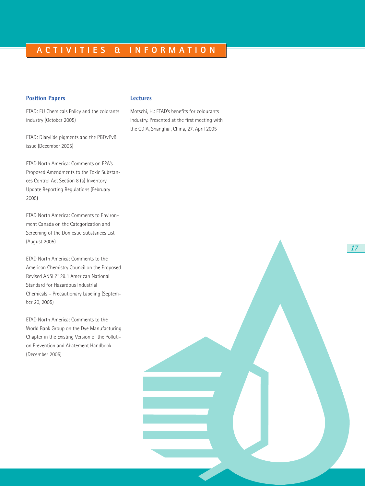### **Position Papers**

ETAD: EU Chemicals Policy and the colorants industry (October 2005)

ETAD: Diarylide pigments and the PBT/vPvB issue (December 2005)

ETAD North America: Comments on EPA's Proposed Amendments to the Toxic Substances Control Act Section 8 (a) Inventory Update Reporting Regulations (February 2005)

ETAD North America: Comments to Environment Canada on the Categorization and Screening of the Domestic Substances List (August 2005)

ETAD North America: Comments to the American Chemistry Council on the Proposed Revised ANSI Z129.1 American National Standard for Hazardous Industrial Chemicals – Precautionary Labeling (September 20, 2005)

ETAD North America: Comments to the World Bank Group on the Dye Manufacturing Chapter in the Existing Version of the Pollution Prevention and Abatement Handbook (December 2005)

### **Lectures**

Motschi, H.: ETAD's benefits for colourants industry. Presented at the first meeting with the CDIA, Shanghai, China, 27. April 2005

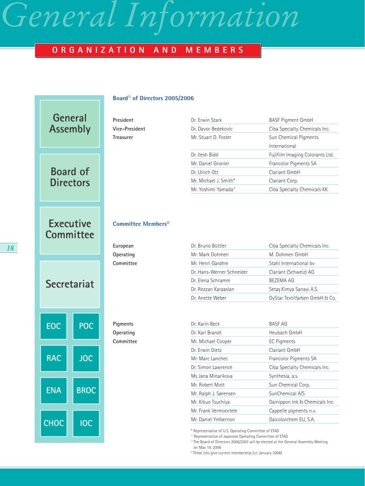### *General Information*

### **ORGANIZATION AND MEMBERS**

### **Board1) of Directors 2005/2006**

| President      | Dr. Erwin Stark       | <b>BASF Pigment GmbH</b>        |
|----------------|-----------------------|---------------------------------|
| Vice-President | Dr. Davor Bedekovic   | Ciba Specialty Chemicals Inc.   |
| Treasurer      | Mr. Stuart D. Foster  | Sun Chemical Pigments           |
|                |                       | International                   |
|                | Dr. Ilesh Bidd        | Fujifilm Imaging Colorants Ltd. |
|                | Mr. Daniel Gronier    | Francolor Pigments SA           |
|                | Dr. Ulrich Ott        | Clariant GmbH                   |
|                | Mr. Michael J. Smith* | Clariant Corp.                  |
|                | Mr. Yoshimi Yamada°   | Ciba Specialty Chemicals KK     |

### **Executive** Committee

Secretariat

POC

**JOC** 

**BROC** 

**IOC** 

EOC

**RAC** 

**ENA** 

CHOC

General Assembly

Board of **Directors** 

#### **Committee Members**<sup>2)</sup>

| European  | Dr. Bruno Büttler         | Ciba Specialty Chemicals Inc.  |
|-----------|---------------------------|--------------------------------|
| Operating | Mr. Mark Dohmen           | M. Dohmen GmbH                 |
| Committee | Mr. Henri Gardère         | Stahl International by         |
|           | Dr. Hans-Werner Schneider | Clariant (Schweiz) AG          |
|           | Dr. Elena Schramm         | BEZEMA AG                      |
|           | Dr. Rezzan Karaaslan      | Setas Kimya Sanayi A.S.        |
|           | Dr. Anette Weber          | DyStar Textilfarben GmbH & Co. |

**Pigments Operating Committee** 

| Dr. Karin Beck        | <b>BASF AG</b>                 |
|-----------------------|--------------------------------|
| Dr. Karl Brandt       | Heubach GmbH                   |
| Mr. Michael Cooper    | EC Pigments                    |
| Dr. Erwin Dietz       | Clariant GmbH                  |
| Mr. Marc Lanchec      | Francolor Pigments SA          |
| Dr. Simon Lawrence    | Ciba Specialty Chemicals Inc.  |
| Ms Jana Minarikova    | Synthesia, a.s.                |
| Mr. Robert Mott       | Sun Chemical Corp.             |
| Mr. Ralph J. Sørensen | SunChemical A/S                |
| Mr. Kikuo Tsuchiya    | Dainippon Ink & Chemicals Inc. |
| Mr. Frank Vermoortele | Cappelle pigments n.v.         |
| Mr Daniel Ymbernon    | Daicolorchem EU, S.A.          |

\* Representative of U.S. Operating Committee of ETAD

° Representative of Japanese Operating Committee of ETAD

<sup>1)</sup> The Board of Directors 2006/2007 will be elected at the General Assembly Meeting on May 19, 2006

2) These lists give current membership (i.e. January 2006)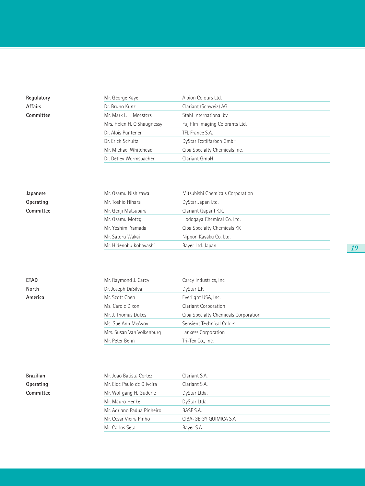| Regulatory | Mr. George Kaye            | Albion Colours Ltd.             |
|------------|----------------------------|---------------------------------|
| Affairs    | Dr. Bruno Kunz             | Clariant (Schweiz) AG           |
| Committee  | Mr. Mark L.H. Meesters     | Stahl International by          |
|            | Mrs. Helen H. O'Shaugnessy | Fujifilm Imaging Colorants Ltd. |
|            | Dr. Alois Püntener         | TFL France S.A.                 |
|            | Dr. Erich Schultz          | DyStar Textilfarben GmbH        |
|            | Mr. Michael Whitehead      | Ciba Specialty Chemicals Inc.   |

Dr. Detlev Wormsbächer Clariant GmbH

| Japanese  |
|-----------|
| Operating |
| Committee |

| Japanese  | Mr. Osamu Nishizawa    | Mitsubishi Chemicals Corporation |  |
|-----------|------------------------|----------------------------------|--|
| Operating | Mr. Toshio Hihara      | DyStar Japan Ltd.                |  |
| Committee | Mr. Genji Matsubara    | Clariant (Japan) K.K.            |  |
|           | Mr. Osamu Motegi       | Hodogaya Chemical Co. Ltd.       |  |
|           | Mr. Yoshimi Yamada     | Ciba Specialty Chemicals KK      |  |
|           | Mr. Satoru Wakai       | Nippon Kayaku Co. Ltd.           |  |
|           | Mr. Hidenobu Kobayashi | Bayer Ltd. Japan                 |  |
|           |                        |                                  |  |

| ETAD    | Mr. Raymond J. Carey      | Carey Industries, Inc.               |
|---------|---------------------------|--------------------------------------|
| North   | Dr. Joseph DaSilva        | DyStar L.P.                          |
| America | Mr. Scott Chen            | Everlight USA, Inc.                  |
|         | Ms. Carole Dixon          | Clariant Corporation                 |
|         | Mr. J. Thomas Dukes       | Ciba Specialty Chemicals Corporation |
|         | Ms. Sue Ann McAvoy        | Sensient Technical Colors            |
|         | Mrs. Susan Van Volkenburg | Lanxess Corporation                  |
|         | Mr. Peter Benn            | Tri-Tex Co., Inc.                    |
|         |                           |                                      |

| Brazilian |
|-----------|
| Operating |
| Committee |

| Brazilian | Mr. João Batista Cortez    | Clariant S.A.          |
|-----------|----------------------------|------------------------|
| Operating | Mr. Eide Paulo de Oliveira | Clariant S.A.          |
| Committee | Mr. Wolfgang H. Guderle    | DyStar Ltda.           |
|           | Mr. Mauro Henke            | DyStar Ltda.           |
|           | Mr. Adriano Padua Pinheiro | BASF S.A.              |
|           | Mr. Cesar Vieira Pinho     | CIBA-GEIGY QUIMICA S.A |
|           | Mr. Carlos Seta            | Bayer S.A.             |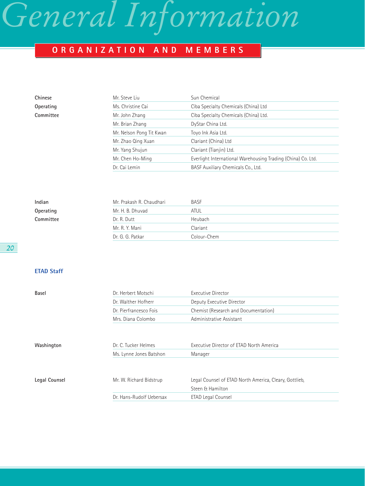# *General Information*

### **ORGANIZATION AND MEMBERS**

| Chinese   | Mr. Steve Liu            | Sun Chemical                                                 |
|-----------|--------------------------|--------------------------------------------------------------|
| Operating | Ms. Christine Cai        | Ciba Specialty Chemicals (China) Ltd                         |
| Committee | Mr. John Zhang           | Ciba Specialty Chemicals (China) Ltd.                        |
|           | Mr. Brian Zhang          | DyStar China Ltd.                                            |
|           | Mr. Nelson Pong Tit Kwan | Toyo Ink Asia Ltd.                                           |
|           | Mr. Zhao Qing Xuan       | Clariant (China) Ltd                                         |
|           | Mr. Yang Shujun          | Clariant (Tianjin) Ltd.                                      |
|           | Mr. Chen Ho-Ming         | Everlight International Warehousing Trading (China) Co. Ltd. |
|           | Dr. Cai Lemin            | BASF Auxiliary Chemicals Co., Ltd.                           |

| Indian    | Mr. Prakash R. Chaudhari | <b>BASF</b> |
|-----------|--------------------------|-------------|
| Operating | Mr. H. B. Dhuvad         | ATUL        |
| Committee | Dr. R. Dutt              | Heubach     |
|           | Mr. R. Y. Mani           | Clariant    |
|           | Dr. G. G. Patkar         | Colour-Chem |

| Basel         | Dr. Herbert Motschi      | Executive Director                                     |
|---------------|--------------------------|--------------------------------------------------------|
|               | Dr. Walther Hofherr      | Deputy Executive Director                              |
|               | Dr. Pierfrancesco Fois   | Chemist (Research and Documentation)                   |
|               | Mrs. Diana Colombo       | Administrative Assistant                               |
|               |                          |                                                        |
|               |                          |                                                        |
| Washington    | Dr. C. Tucker Helmes     | Executive Director of ETAD North America               |
|               | Ms. Lynne Jones Batshon  | Manager                                                |
|               |                          |                                                        |
| Legal Counsel | Mr. W. Richard Bidstrup  | Legal Counsel of ETAD North America, Cleary, Gottlieb, |
|               |                          | Steen & Hamilton                                       |
|               | Dr. Hans-Rudolf Uebersax | ETAD Legal Counsel                                     |
|               |                          |                                                        |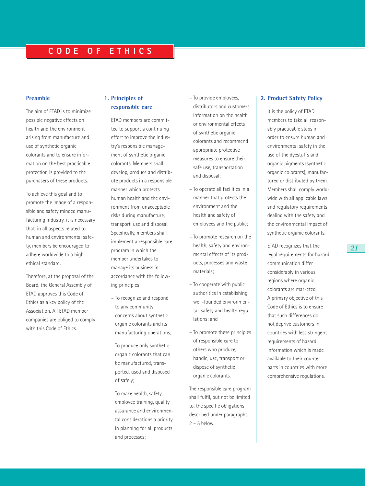### **Preamble**

The aim of ETAD is to minimize possible negative effects on health and the environment arising from manufacture and use of synthetic organic colorants and to ensure information on the best practicable protection is provided to the purchasers of these products.

To achieve this goal and to promote the image of a responsible and safety minded manufacturing industry, it is necessary that, in all aspects related to human and environmental safety, members be encouraged to adhere worldwide to a high ethical standard.

Therefore, at the proposal of the Board, the General Assembly of ETAD approves this Code of Ethics as a key policy of the Association. All ETAD member companies are obliged to comply with this Code of Ethics.

### **1. Principles of responsible care**

ETAD members are committed to support a continuing effort to improve the industry's responsible management of synthetic organic colorants. Members shall develop, produce and distribute products in a responsible manner which protects human health and the environment from unacceptable risks during manufacture, transport, use and disposal. Specifically, members shall implement a responsible care program in which the member undertakes to manage its business in accordance with the following principles:

- To recognize and respond to any community concerns about synthetic organic colorants and its manufacturing operations;
- To produce only synthetic organic colorants that can be manufactured, transported, used and disposed of safely;
- To make health, safety, employee training, quality assurance and environmental considerations a priority in planning for all products and processes;
- To provide employees, distributors and customers information on the health or environmental effects of synthetic organic colorants and recommend appropriate protective measures to ensure their safe use, transportation and disposal;
- To operate all facilities in a manner that protects the environment and the health and safety of employees and the public;
- To promote research on the health, safety and environmental effects of its products, processes and waste materials;
- To cooperate with public authorities in establishing well-founded environmental, safety and health regulations; and
- To promote these principles of responsible care to others who produce, handle, use, transport or dispose of synthetic organic colorants.

The responsible care program shall fulfil, but not be limited to, the specific obligations described under paragraphs  $2 - 5$  below.

### **2. Product Safety Policy**

It is the policy of ETAD members to take all reasonably practicable steps in order to ensure human and environmental safety in the use of the dyestuffs and organic pigments (synthetic organic colorants), manufactured or distributed by them. Members shall comply worldwide with all applicable laws and regulatory requirements dealing with the safety and the environmental impact of synthetic organic colorants.

ETAD recognizes that the legal requirements for hazard communication differ considerably in various regions where organic colorants are marketed. A primary objective of this Code of Ethics is to ensure that such differences do not deprive customers in countries with less stringent requirements of hazard information which is made available to their counterparts in countries with more comprehensive regulations.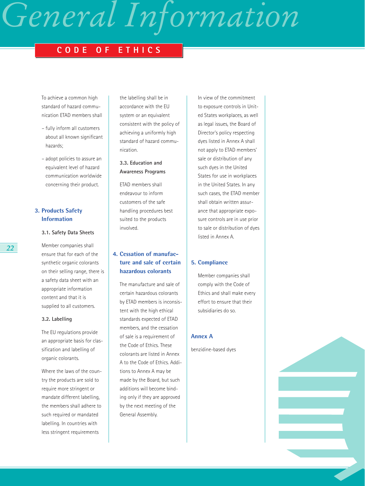# *General Information*

### **CODE OF ETHICS**

To achieve a common high standard of hazard communication ETAD members shall

- fully inform all customers about all known significant hazards;
- adopt policies to assure an equivalent level of hazard communication worldwide concerning their product.

### **3. Products Safety Information**

### **3.1. Safety Data Sheets**

Member companies shall ensure that for each of the synthetic organic colorants on their selling range, there is a safety data sheet with an appropriate information content and that it is supplied to all customers.

#### **3.2. Labelling**

The EU regulations provide an appropriate basis for classification and labelling of organic colorants.

Where the laws of the country the products are sold to require more stringent or mandate different labelling, the members shall adhere to such required or mandated labelling. In countries with less stringent requirements

the labelling shall be in accordance with the EU system or an equivalent consistent with the policy of achieving a uniformly high standard of hazard communication.

### **3.3. Education and Awareness Programs**

ETAD members shall endeavour to inform customers of the safe handling procedures best suited to the products involved.

### **4. Cessation of manufacture and sale of certain hazardous colorants**

The manufacture and sale of certain hazardous colorants by ETAD members is inconsistent with the high ethical standards expected of ETAD members, and the cessation of sale is a requirement of the Code of Ethics. These colorants are listed in Annex A to the Code of Ethics. Additions to Annex A may be made by the Board, but such additions will become binding only if they are approved by the next meeting of the General Assembly.

In view of the commitment to exposure controls in United States workplaces, as well as legal issues, the Board of Director's policy respecting dyes listed in Annex A shall not apply to ETAD members' sale or distribution of any such dyes in the United States for use in workplaces in the United States. In any such cases, the ETAD member shall obtain written assurance that appropriate exposure controls are in use prior to sale or distribution of dyes listed in Annex A.

### **5. Compliance**

Member companies shall comply with the Code of Ethics and shall make every effort to ensure that their subsidiaries do so.

#### **Annex A**

benzidine-based dyes

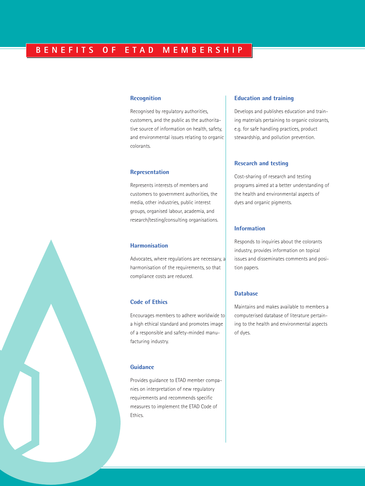#### **Recognition**

Recognised by regulatory authorities, customers, and the public as the authoritative source of information on health, safety, and environmental issues relating to organic colorants.

### **Representation**

Represents interests of members and customers to government authorities, the media, other industries, public interest groups, organised labour, academia, and research/testing/consulting organisations.

### **Harmonisation**

Advocates, where regulations are necessary, a harmonisation of the requirements, so that compliance costs are reduced.

#### **Code of Ethics**

Encourages members to adhere worldwide to a high ethical standard and promotes image of a responsible and safety-minded manufacturing industry.

### **Guidance**

Provides guidance to ETAD member companies on interpretation of new regulatory requirements and recommends specific measures to implement the ETAD Code of Ethics.

### **Education and training**

Develops and publishes education and training materials pertaining to organic colorants, e.g. for safe handling practices, product stewardship, and pollution prevention.

#### **Research and testing**

Cost-sharing of research and testing programs aimed at a better understanding of the health and environmental aspects of dyes and organic pigments.

### **Information**

Responds to inquiries about the colorants industry, provides information on topical issues and disseminates comments and position papers.

#### **Database**

Maintains and makes available to members a computerised database of literature pertaining to the health and environmental aspects of dyes.